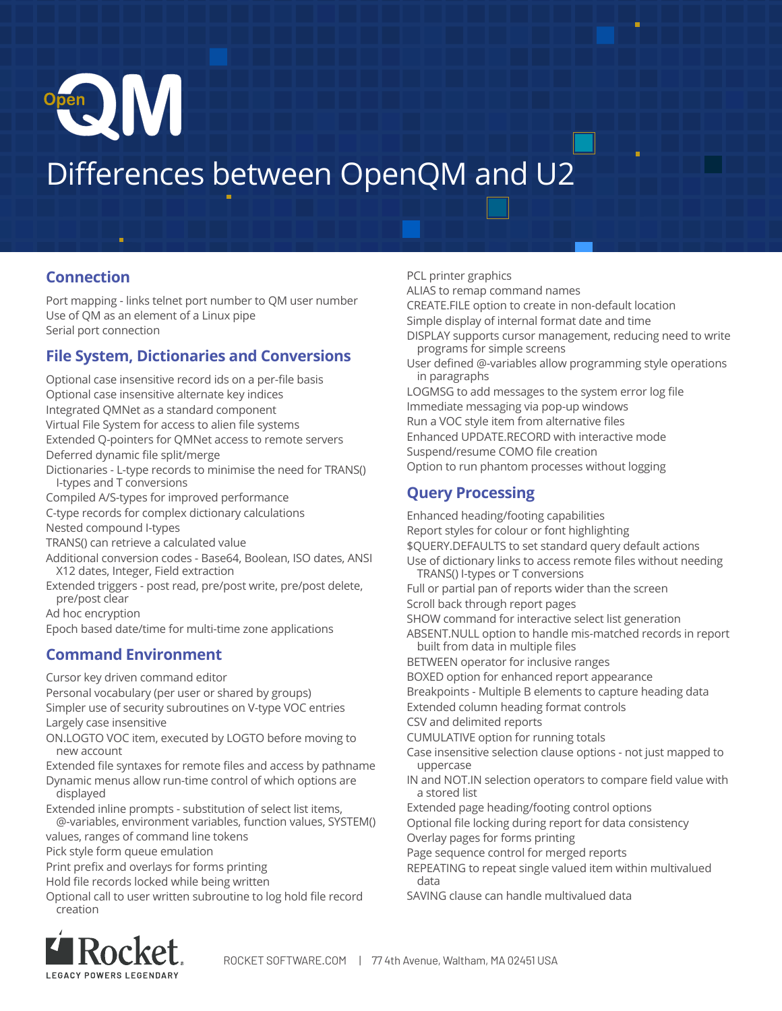

# Differences between OpenQM and U2

#### **Connection**

Port mapping - links telnet port number to QM user number Use of QM as an element of a Linux pipe Serial port connection

## **File System, Dictionaries and Conversions**

- Optional case insensitive record ids on a per-file basis Optional case insensitive alternate key indices Integrated QMNet as a standard component Virtual File System for access to alien file systems Extended Q-pointers for QMNet access to remote servers Deferred dynamic file split/merge Dictionaries - L-type records to minimise the need for TRANS() I-types and T conversions Compiled A/S-types for improved performance C-type records for complex dictionary calculations Nested compound I-types TRANS() can retrieve a calculated value Additional conversion codes - Base64, Boolean, ISO dates, ANSI X12 dates, Integer, Field extraction
- Extended triggers post read, pre/post write, pre/post delete, pre/post clear

Ad hoc encryption

Epoch based date/time for multi-time zone applications

# **Command Environment**

Cursor key driven command editor

Personal vocabulary (per user or shared by groups) Simpler use of security subroutines on V-type VOC entries

Largely case insensitive

ON.LOGTO VOC item, executed by LOGTO before moving to new account

Extended file syntaxes for remote files and access by pathname

Dynamic menus allow run-time control of which options are displayed

Extended inline prompts - substitution of select list items, @-variables, environment variables, function values, SYSTEM()

values, ranges of command line tokens

Pick style form queue emulation

Print prefix and overlays for forms printing

Hold file records locked while being written

Optional call to user written subroutine to log hold file record creation

Rocket **LEGACY POWERS LEGENDAE** 

CREATE.FILE option to create in non-default location Simple display of internal format date and time DISPLAY supports cursor management, reducing need to write programs for simple screens User defined @-variables allow programming style operations in paragraphs LOGMSG to add messages to the system error log file Immediate messaging via pop-up windows Run a VOC style item from alternative files Enhanced UPDATE.RECORD with interactive mode Suspend/resume COMO file creation Option to run phantom processes without logging

# **Query Processing**

PCL printer graphics

ALIAS to remap command names

Enhanced heading/footing capabilities Report styles for colour or font highlighting \$QUERY.DEFAULTS to set standard query default actions Use of dictionary links to access remote files without needing TRANS() I-types or T conversions Full or partial pan of reports wider than the screen Scroll back through report pages SHOW command for interactive select list generation ABSENT.NULL option to handle mis-matched records in report built from data in multiple files BETWEEN operator for inclusive ranges BOXED option for enhanced report appearance Breakpoints - Multiple B elements to capture heading data Extended column heading format controls CSV and delimited reports CUMULATIVE option for running totals Case insensitive selection clause options - not just mapped to uppercase IN and NOT.IN selection operators to compare field value with a stored list Extended page heading/footing control options Optional file locking during report for data consistency Overlay pages for forms printing Page sequence control for merged reports REPEATING to repeat single valued item within multivalued data SAVING clause can handle multivalued data